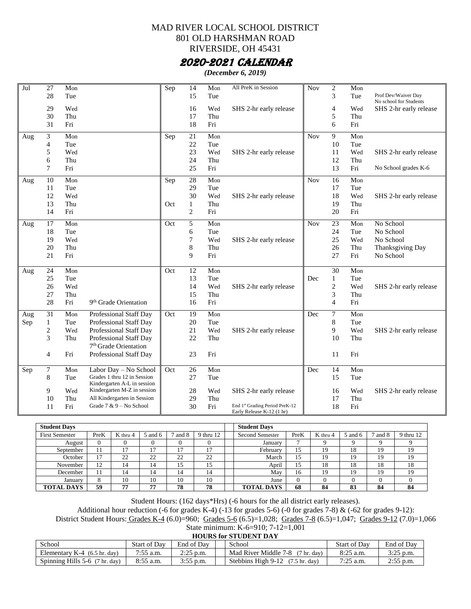#### MAD RIVER LOCAL SCHOOL DISTRICT 801 OLD HARSHMAN ROAD RIVERSIDE, OH 45431

#### 2020-2021 CALENDAR

*(December 6, 2019)*

| Jul | 27               | Mon |                                                            | $\overline{\text{S}}$ ep | 14             | Mon | All PreK in Session                                         | <b>Nov</b> | $\overline{c}$ | Mon |                        |
|-----|------------------|-----|------------------------------------------------------------|--------------------------|----------------|-----|-------------------------------------------------------------|------------|----------------|-----|------------------------|
|     | 28               | Tue |                                                            |                          | 15             | Tue |                                                             |            | 3              | Tue | Prof Dev/Waiver Day    |
|     |                  |     |                                                            |                          |                |     |                                                             |            |                |     | No school for Students |
|     | 29               | Wed |                                                            |                          | 16             | Wed | SHS 2-hr early release                                      |            | $\overline{4}$ | Wed | SHS 2-hr early release |
|     | 30               | Thu |                                                            |                          | 17             | Thu |                                                             |            | 5              | Thu |                        |
|     | 31               | Fri |                                                            |                          | 18             | Fri |                                                             |            | 6              | Fri |                        |
| Aug | 3                | Mon |                                                            | Sep                      | 21             | Mon |                                                             | <b>Nov</b> | 9              | Mon |                        |
|     | $\overline{4}$   | Tue |                                                            |                          | 22             | Tue |                                                             |            | 10             | Tue |                        |
|     | 5                | Wed |                                                            |                          | 23             | Wed | SHS 2-hr early release                                      |            | 11             | Wed | SHS 2-hr early release |
|     | 6                | Thu |                                                            |                          | 24             | Thu |                                                             |            | 12             | Thu |                        |
|     | 7                | Fri |                                                            |                          | 25             | Fri |                                                             |            | 13             | Fri | No School grades K-6   |
| Aug | 10               | Mon |                                                            | Sep                      | 28             | Mon |                                                             | <b>Nov</b> | 16             | Mon |                        |
|     | 11               | Tue |                                                            |                          | 29             | Tue |                                                             |            | 17             | Tue |                        |
|     | 12               | Wed |                                                            |                          | 30             | Wed | SHS 2-hr early release                                      |            | 18             | Wed | SHS 2-hr early release |
|     | 13               | Thu |                                                            | Oct                      | $\mathbf{1}$   | Thu |                                                             |            | 19             | Thu |                        |
|     | 14               | Fri |                                                            |                          | $\overline{c}$ | Fri |                                                             |            | 20             | Fri |                        |
|     |                  |     |                                                            |                          |                |     |                                                             |            |                |     |                        |
| Aug | 17               | Mon |                                                            | Oct                      | 5              | Mon |                                                             | <b>Nov</b> | 23             | Mon | No School              |
|     | 18               | Tue |                                                            |                          | 6              | Tue |                                                             |            | 24             | Tue | No School              |
|     | 19               | Wed |                                                            |                          | 7              | Wed | SHS 2-hr early release                                      |            | 25             | Wed | No School              |
|     | 20               | Thu |                                                            |                          | 8              | Thu |                                                             |            | 26             | Thu | Thanksgiving Day       |
|     | 21               | Fri |                                                            |                          | 9              | Fri |                                                             |            | 27             | Fri | No School              |
| Aug | 24               | Mon |                                                            | Oct                      | 12             | Mon |                                                             |            | 30             | Mon |                        |
|     | 25               | Tue |                                                            |                          | 13             | Tue |                                                             | Dec        | $\mathbf{1}$   | Tue |                        |
|     | 26               | Wed |                                                            |                          | 14             | Wed | SHS 2-hr early release                                      |            | $\overline{c}$ | Wed | SHS 2-hr early release |
|     | 27               | Thu |                                                            |                          | 15             | Thu |                                                             |            | 3              | Thu |                        |
|     | 28               | Fri | 9 <sup>th</sup> Grade Orientation                          |                          | 16             | Fri |                                                             |            | $\overline{4}$ | Fri |                        |
| Aug | $\overline{31}$  | Mon | Professional Staff Day                                     | Oct                      | 19             | Mon |                                                             | Dec        | $\tau$         | Mon |                        |
| Sep | $\mathbf{1}$     | Tue | Professional Staff Day                                     |                          | 20             | Tue |                                                             |            | 8              | Tue |                        |
|     | $\overline{c}$   | Wed | Professional Staff Day                                     |                          | 21             | Wed | SHS 2-hr early release                                      |            | 9              | Wed | SHS 2-hr early release |
|     | 3                | Thu | Professional Staff Day                                     |                          | 22             | Thu |                                                             |            | 10             | Thu |                        |
|     |                  |     | 7 <sup>th</sup> Grade Orientation                          |                          |                |     |                                                             |            |                |     |                        |
|     | $\overline{4}$   | Fri | Professional Staff Day                                     |                          | 23             | Fri |                                                             |            | 11             | Fri |                        |
|     |                  |     |                                                            |                          |                |     |                                                             |            |                |     |                        |
| Sep | $\boldsymbol{7}$ | Mon | Labor Day - No School                                      | Oct                      | 26             | Mon |                                                             | Dec        | 14             | Mon |                        |
|     | 8                | Tue | Grades 1 thru 12 in Session<br>Kindergarten A-L in session |                          | 27             | Tue |                                                             |            | 15             | Tue |                        |
|     | 9                | Wed | Kindergarten M-Z in session                                |                          | 28             | Wed | SHS 2-hr early release                                      |            | 16             | Wed | SHS 2-hr early release |
|     | 10               | Thu | All Kindergarten in Session                                |                          | 29             | Thu |                                                             |            | 17             | Thu |                        |
|     | 11               | Fri | Grade $7 & 9 - No School$                                  |                          | 30             | Fri | End 1st Grading Period PreK-12<br>Early Release K-12 (1 hr) |            | 18             | Fri |                        |

| <b>Student Davs</b>   |          |          |         |          |           | <b>Student Days</b>    |              |          |         |         |           |
|-----------------------|----------|----------|---------|----------|-----------|------------------------|--------------|----------|---------|---------|-----------|
| <b>First Semester</b> | PreK     | K thru 4 | 5 and 6 | 7 and 8  | 9 thru 12 | <b>Second Semester</b> | PreK         | K thru 4 | 5 and 6 | 7 and 8 | 9 thru 12 |
| August                | $\theta$ |          |         | $\Omega$ | v         | January                |              |          |         |         |           |
| September             | 11       | 17       | 17      | $1 -$    | 17        | February               | 15           | 19       | 18      | 19      | 19        |
| October               | 17       | 22       | 22      | 22       | 22        | March                  | 15           | 19       | 19      | 19      | 19        |
| November              | 12       | 14       | 14      | 15       | 15        | April                  | 15           | 18       | 18      | 18      | 18        |
| December              | 11       | 14       | 14      | 14       | 14        | May                    | 16           | 19       | 19      | 19      | 19        |
| January               | 8        | 10       | 10      | 10       | 10        | June                   | $\mathbf{0}$ |          |         |         |           |
| <b>TOTAL DAYS</b>     | 59       | 77       | 77      | 78       | 78        | <b>TOTAL DAYS</b>      | 68           | 84       | 83      | 84      | 84        |

Student Hours: (162 days\*Hrs) (-6 hours for the all district early releases).

Additional hour reduction (-6 for grades K-4) (-13 for grades 5-6) (-0 for grades 7-8) & (-62 for grades 9-12): District Student Hours: Grades K-4 (6.0)=960; Grades 5-6 (6.5)=1,028; Grades 7-8 (6.5)=1,047; Grades 9-12 (7.0)=1,066

State minimum: K-6=910; 7-12=1,001

**HOURS for STUDENT DAY**

| School                                         | Start of Day | End of Dav  | School                                 | <b>Start of Dav</b> | End of Day               |
|------------------------------------------------|--------------|-------------|----------------------------------------|---------------------|--------------------------|
| Elementary K-4 $(6.5 \text{ hr.} \text{ day})$ | 1:55 a.m.    | $25$ p.m.   | Mad River Middle 7-8<br>' hr. dav`     | $8:25$ a.m.         | $\gamma$ $\gamma$ 5 p.m. |
| Spinning Hills 5-6<br>' hr. dav)               | 8:55 a.m.    | $3:55$ p.m. | Stebbins High 9-12<br>(7.5 hr.<br>(day | $7.25$ a.m.         | $\delta$ p.m.            |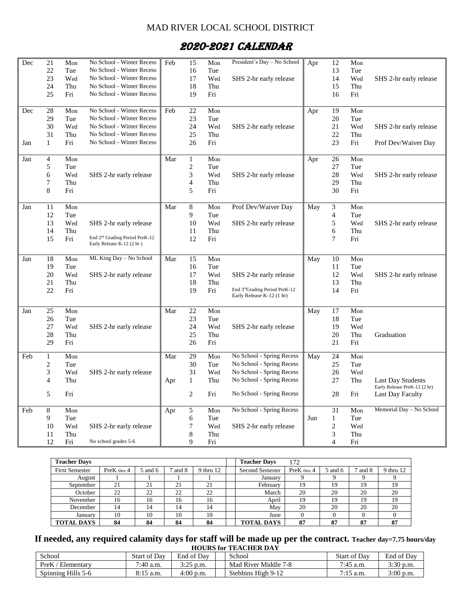#### MAD RIVER LOCAL SCHOOL DISTRICT

# 2020-2021 CALENDAR

| Dec | 21              | Mon | No School - Winter Recess                  | Feb | 15               | Mon | President's Day - No School                                | Apr | 12                          | Mon |                              |
|-----|-----------------|-----|--------------------------------------------|-----|------------------|-----|------------------------------------------------------------|-----|-----------------------------|-----|------------------------------|
|     | 22              | Tue | No School - Winter Recess                  |     | 16               | Tue |                                                            |     | 13                          | Tue |                              |
|     | 23              | Wed | No School - Winter Recess                  |     | 17               | Wed | SHS 2-hr early release                                     |     | 14                          | Wed | SHS 2-hr early release       |
|     | 24              | Thu | No School - Winter Recess                  |     | 18               | Thu |                                                            |     | 15                          | Thu |                              |
|     | 25              | Fri | No School - Winter Recess                  |     | 19               | Fri |                                                            |     | 16                          | Fri |                              |
|     |                 |     |                                            |     |                  |     |                                                            |     |                             |     |                              |
| Dec | 28              | Mon | No School - Winter Recess                  | Feb | 22               | Mon |                                                            | Apr | 19                          | Mon |                              |
|     | 29              | Tue | No School - Winter Recess                  |     | 23               | Tue |                                                            |     | 20                          | Tue |                              |
|     | 30              | Wed | No School - Winter Recess                  |     | 24               | Wed | SHS 2-hr early release                                     |     | 21                          | Wed | SHS 2-hr early release       |
|     | 31              | Thu | No School - Winter Recess                  |     | 25               | Thu |                                                            |     | 22                          | Thu |                              |
| Jan | $\mathbf{1}$    | Fri | No School - Winter Recess                  |     | 26               | Fri |                                                            |     | 23                          | Fri | Prof Dev/Waiver Day          |
|     |                 |     |                                            |     |                  |     |                                                            |     |                             |     |                              |
| Jan | 4               | Mon |                                            | Mar | $\mathbf{1}$     | Mon |                                                            | Apr | $\overline{26}$             | Mon |                              |
|     | 5               | Tue |                                            |     | $\overline{c}$   | Tue |                                                            |     | 27                          | Tue |                              |
|     | 6               | Wed | SHS 2-hr early release                     |     | 3                | Wed | SHS 2-hr early release                                     |     | 28                          | Wed | SHS 2-hr early release       |
|     | 7               | Thu |                                            |     | $\overline{4}$   | Thu |                                                            |     | 29                          | Thu |                              |
|     | 8               | Fri |                                            |     | 5                | Fri |                                                            |     | 30                          | Fri |                              |
| Jan | 11              | Mon |                                            | Mar | $\,8\,$          | Mon | Prof Dev/Waiver Day                                        | May | $\ensuremath{\mathfrak{Z}}$ | Mon |                              |
|     | 12              | Tue |                                            |     | 9                | Tue |                                                            |     | $\overline{4}$              | Tue |                              |
|     | 13              | Wed |                                            |     | 10               | Wed |                                                            |     | 5                           | Wed |                              |
|     | 14              | Thu | SHS 2-hr early release                     |     | 11               | Thu | SHS 2-hr early release                                     |     |                             | Thu | SHS 2-hr early release       |
|     |                 |     | End 2 <sup>nd</sup> Grading Period PreK-12 |     |                  |     |                                                            |     | 6<br>$\overline{7}$         |     |                              |
|     | 15              | Fri | Early Release K-12 (2 hr)                  |     | 12               | Fri |                                                            |     |                             | Fri |                              |
|     |                 |     |                                            |     |                  |     |                                                            |     |                             |     |                              |
| Jan | 18              | Mon | ML King Day - No School                    | Mar | 15               | Mon |                                                            | May | 10                          | Mon |                              |
|     | 19              | Tue |                                            |     | 16               | Tue |                                                            |     | 11                          | Tue |                              |
|     | 20              | Wed | SHS 2-hr early release                     |     | 17               | Wed | SHS 2-hr early release                                     |     | 12                          | Wed | SHS 2-hr early release       |
|     | 21              | Thu |                                            |     | 18               | Thu |                                                            |     | 13                          | Thu |                              |
|     | 22              | Fri |                                            |     | 19               | Fri | End 3rdGrading Period PreK-12<br>Early Release K-12 (1 hr) |     | 14                          | Fri |                              |
|     |                 |     |                                            |     |                  |     |                                                            |     |                             |     |                              |
| Jan | $\overline{25}$ | Mon |                                            | Mar | 22               | Mon |                                                            | May | $\overline{17}$             | Mon |                              |
|     | 26              | Tue |                                            |     | 23               | Tue |                                                            |     | 18                          | Tue |                              |
|     | 27              | Wed | SHS 2-hr early release                     |     | 24               | Wed | SHS 2-hr early release                                     |     | 19                          | Wed |                              |
|     | 28              | Thu |                                            |     | 25               | Thu |                                                            |     | 20                          | Thu | Graduation                   |
|     | 29              | Fri |                                            |     | 26               | Fri |                                                            |     | 21                          | Fri |                              |
| Feb | $\mathbf{1}$    | Mon |                                            | Mar | 29               | Mon | No School - Spring Recess                                  | May | 24                          | Mon |                              |
|     | $\overline{c}$  | Tue |                                            |     | 30               | Tue | No School - Spring Recess                                  |     | 25                          | Tue |                              |
|     | 3               | Wed | SHS 2-hr early release                     |     | 31               | Wed | No School - Spring Recess                                  |     | 26                          | Wed |                              |
|     | $\overline{4}$  | Thu |                                            | Apr | $\mathbf{1}$     | Thu | No School - Spring Recess                                  |     | 27                          | Thu | <b>Last Day Students</b>     |
|     |                 |     |                                            |     |                  |     |                                                            |     |                             |     | Early Release PreK-12 (2 hr) |
|     | 5               | Fri |                                            |     | $\boldsymbol{2}$ | Fri | No School - Spring Recess                                  |     | 28                          | Fri | <b>Last Day Faculty</b>      |
| Feb | $\overline{8}$  | Mon |                                            | Apr | 5                | Mon | No School - Spring Recess                                  |     | 31                          | Mon | Memorial Day - No School     |
|     | 9               | Tue |                                            |     | 6                | Tue |                                                            | Jun | $\mathbf{1}$                | Tue |                              |
|     | 10              | Wed | SHS 2-hr early release                     |     | 7                | Wed | SHS 2-hr early release                                     |     | $\sqrt{2}$                  | Wed |                              |
|     | 11              | Thu |                                            |     | 8                | Thu |                                                            |     | $\ensuremath{\mathfrak{Z}}$ | Thu |                              |
|     | 12              | Fri | No school grades 5-6                       |     | 9                | Fri |                                                            |     | $\overline{4}$              | Fri |                              |
|     |                 |     |                                            |     |                  |     |                                                            |     |                             |     |                              |

| <b>Teacher Days</b>   |             |         |       |           | <b>Teacher Days</b>    | 172         |         |         |           |
|-----------------------|-------------|---------|-------|-----------|------------------------|-------------|---------|---------|-----------|
| <b>First Semester</b> | PreK thru 4 | 5 and 6 | and 8 | 9 thru 12 | <b>Second Semester</b> | PreK thru 4 | 5 and 6 | 7 and 8 | 9 thru 12 |
| August                |             |         |       |           | January                |             |         |         |           |
| September             | 21          | 21      | 21    | 21        | February               | 19          | 19      | 19      | 19        |
| October               | 22          | 22      | 22    | 22        | March                  | 20          | 20      | 20      | 20        |
| November              | 16          | 16      | 16    | 16        | April                  | 19          | 19      | 19      | 19        |
| December              | 14          | 14      | 14    | 14        | May                    | 20          | 20      | 20      | 20        |
| Januarv               | 10          | 10      | 10    | 10        | June                   |             |         |         |           |
| <b>TOTAL DAYS</b>     | 84          | 84      | 84    | 84        | <b>TOTAL DAYS</b>      | 87          | 87      | 87      | 87        |

#### **If needed, any required calamity days for staff will be made up per the contract. Teacher day=7.75 hours/day HOURS for TEACHER DAY**

| School             | <b>Start of Dav</b> | End of Dav  | School               | <b>Start of Dav</b> | End of Dav  |
|--------------------|---------------------|-------------|----------------------|---------------------|-------------|
| PreK<br>Elementary | $7:40$ a.m.         | $3:25$ p.m. | Mad River Middle 7-8 | $7:45$ a.m.         | $3:30$ p.m. |
| Spinning Hills 5-6 | $8:15$ a.m.         | $4:00$ p.m. | Stebbins High 9-12   | $7:15$ a.m.         | $3:00$ p.m. |